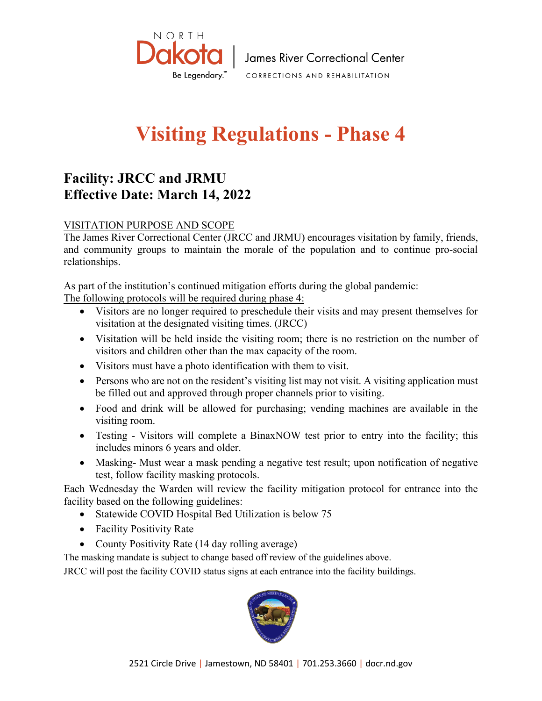

## **Visiting Regulations - Phase 4**

## **Facility: JRCC and JRMU Effective Date: March 14, 2022**

## VISITATION PURPOSE AND SCOPE

The James River Correctional Center (JRCC and JRMU) encourages visitation by family, friends, and community groups to maintain the morale of the population and to continue pro-social relationships.

As part of the institution's continued mitigation efforts during the global pandemic:

The following protocols will be required during phase 4:

- Visitors are no longer required to preschedule their visits and may present themselves for visitation at the designated visiting times. (JRCC)
- Visitation will be held inside the visiting room; there is no restriction on the number of visitors and children other than the max capacity of the room.
- Visitors must have a photo identification with them to visit.
- Persons who are not on the resident's visiting list may not visit. A visiting application must be filled out and approved through proper channels prior to visiting.
- Food and drink will be allowed for purchasing; vending machines are available in the visiting room.
- Testing Visitors will complete a BinaxNOW test prior to entry into the facility; this includes minors 6 years and older.
- Masking- Must wear a mask pending a negative test result; upon notification of negative test, follow facility masking protocols.

Each Wednesday the Warden will review the facility mitigation protocol for entrance into the facility based on the following guidelines:

- Statewide COVID Hospital Bed Utilization is below 75
- Facility Positivity Rate
- County Positivity Rate (14 day rolling average)

The masking mandate is subject to change based off review of the guidelines above.

JRCC will post the facility COVID status signs at each entrance into the facility buildings.